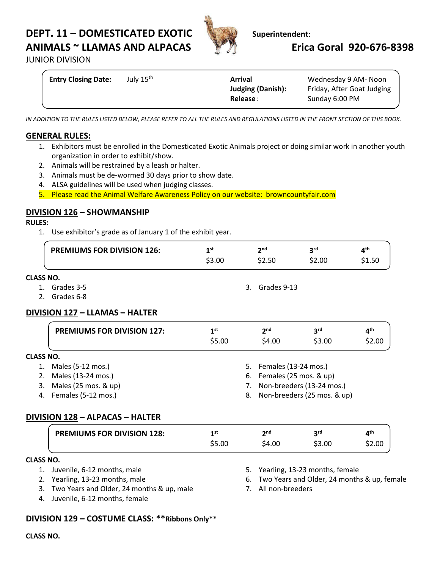# **DEPT. 11 – DOMESTICATED EXOTIC WEED Superintendent: ANIMALS ~ LLAMAS AND ALPACAS Erica Goral 920-676-8398**



**JUNIOR DIVISION** 

| <b>Entry Closing Date:</b> | July 15 <sup>th</sup><br><b>Arrival</b><br><b>Judging (Danish):</b> | Wednesday 9 AM-Noon<br>Friday, After Goat Judging |
|----------------------------|---------------------------------------------------------------------|---------------------------------------------------|
|                            | Release:                                                            | Sunday 6:00 PM                                    |

*IN ADDITION TO THE RULES LISTED BELOW, PLEASE REFER TO ALL THE RULES AND REGULATIONS LISTED IN THE FRONT SECTION OF THIS BOOK.*

### **GENERAL RULES:**

- 1. Exhibitors must be enrolled in the Domesticated Exotic Animals project or doing similar work in another youth organization in order to exhibit/show.
- 2. Animals will be restrained by a leash or halter.
- 3. Animals must be de-wormed 30 days prior to show date.
- 4. ALSA guidelines will be used when judging classes.
- 5. Please read the Animal Welfare Awareness Policy on our website: browncountyfair.com

#### **DIVISION 126 – SHOWMANSHIP**

#### **RULES:**

1. Use exhibitor's grade as of January 1 of the exhibit year.

| <b>PREMIUMS FOR DIVISION 126:</b> | 1st    | 2 <sub>nd</sub> | 2 <sub>rd</sub> | ⊿th    |
|-----------------------------------|--------|-----------------|-----------------|--------|
|                                   | \$3.00 | \$2.50          | \$2.00          | \$1.50 |
| \SS NO.                           |        |                 |                 |        |

#### $CLA$

- 1. Grades 3-5
- 2. Grades 6-8

#### **DIVISION 127 – LLAMAS – HALTER**

|                  | <b>PREMIUMS FOR DIVISION 127:</b> | 1 <sup>st</sup>                   |  | 2 <sup>nd</sup>         | 3 <sup>rd</sup> | 4 <sup>th</sup> |
|------------------|-----------------------------------|-----------------------------------|--|-------------------------|-----------------|-----------------|
|                  |                                   | \$5.00                            |  | \$4.00                  | \$3.00          | \$2.00          |
| <b>CLASS NO.</b> |                                   |                                   |  |                         |                 |                 |
| 1.               | Males (5-12 mos.)                 |                                   |  | 5. Females (13-24 mos.) |                 |                 |
| 2.               | Males (13-24 mos.)                | 6. Females (25 mos. & up)         |  |                         |                 |                 |
| 3.               | Males (25 mos. & up)              | 7. Non-breeders (13-24 mos.)      |  |                         |                 |                 |
|                  | 4. Females (5-12 mos.)            | Non-breeders (25 mos. & up)<br>8. |  |                         |                 |                 |

## **DIVISION 128 – ALPACAS – HALTER**

| <b>PREMIUMS FOR DIVISION 128:</b> | 1 st   | າກd    | ord    | лth    |
|-----------------------------------|--------|--------|--------|--------|
|                                   | \$5.00 | \$4.00 | \$3.00 | \$2.00 |

#### **CLASS NO.**

- 1. Juvenile, 6-12 months, male
- 2. Yearling, 13-23 months, male
- 3. Two Years and Older, 24 months & up, male
- 4. Juvenile, 6-12 months, female
- 5. Yearling, 13-23 months, female
- 6. Two Years and Older, 24 months & up, female
- 7. All non-breeders

3. Grades 9-13

#### **DIVISION 129 – COSTUME CLASS: \*\*Ribbons Only\*\***

**CLASS NO.**